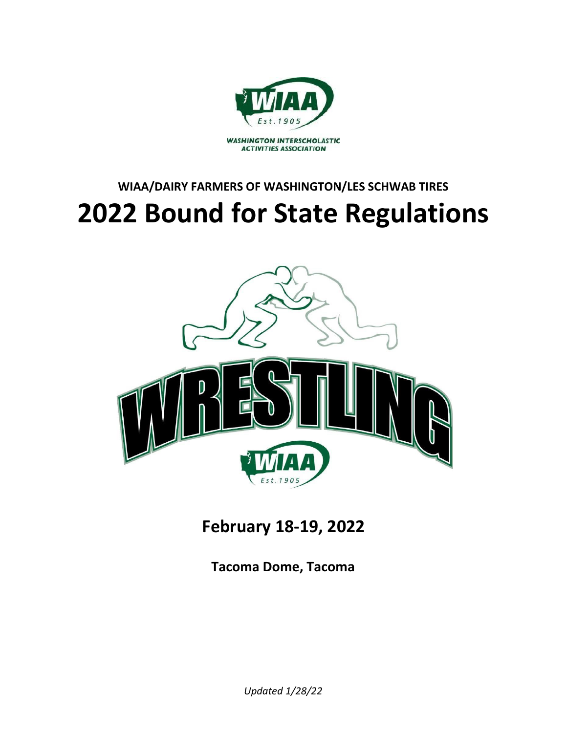

# **WIAA/DAIRY FARMERS OF WASHINGTON/LES SCHWAB TIRES 2022 Bound for State Regulations**



**February 18-19, 2022**

**Tacoma Dome, Tacoma**

*Updated 1/28/22*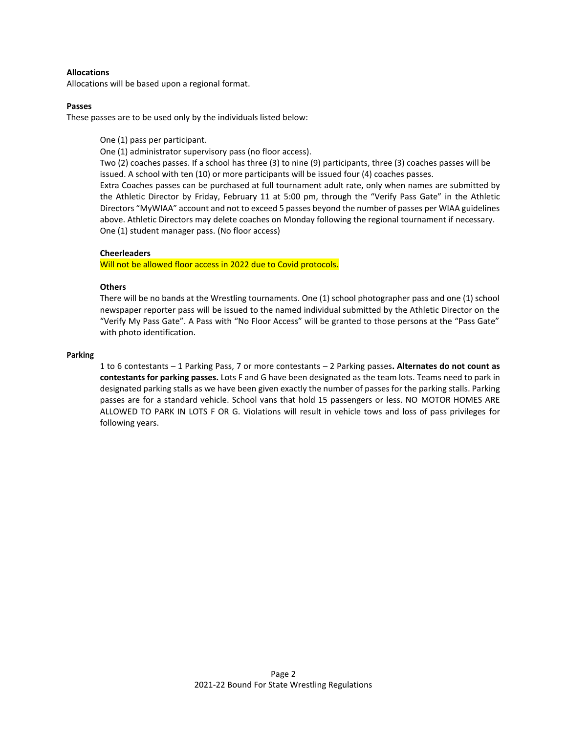# **Allocations**

Allocations will be based upon a regional format.

# **Passes**

These passes are to be used only by the individuals listed below:

One (1) pass per participant.

One (1) administrator supervisory pass (no floor access).

Two (2) coaches passes. If a school has three (3) to nine (9) participants, three (3) coaches passes will be issued. A school with ten (10) or more participants will be issued four (4) coaches passes.

Extra Coaches passes can be purchased at full tournament adult rate, only when names are submitted by the Athletic Director by Friday, February 11 at 5:00 pm, through the "Verify Pass Gate" in the Athletic Directors "MyWIAA" account and not to exceed 5 passes beyond the number of passes per WIAA guidelines above. Athletic Directors may delete coaches on Monday following the regional tournament if necessary. One (1) student manager pass. (No floor access)

# **Cheerleaders**

Will not be allowed floor access in 2022 due to Covid protocols.

# **Others**

There will be no bands at the Wrestling tournaments. One (1) school photographer pass and one (1) school newspaper reporter pass will be issued to the named individual submitted by the Athletic Director on the "Verify My Pass Gate". A Pass with "No Floor Access" will be granted to those persons at the "Pass Gate" with photo identification.

#### **Parking**

1 to 6 contestants – 1 Parking Pass, 7 or more contestants – 2 Parking passes**. Alternates do not count as contestants for parking passes.** Lots F and G have been designated as the team lots. Teams need to park in designated parking stalls as we have been given exactly the number of passes for the parking stalls. Parking passes are for a standard vehicle. School vans that hold 15 passengers or less. NO MOTOR HOMES ARE ALLOWED TO PARK IN LOTS F OR G. Violations will result in vehicle tows and loss of pass privileges for following years.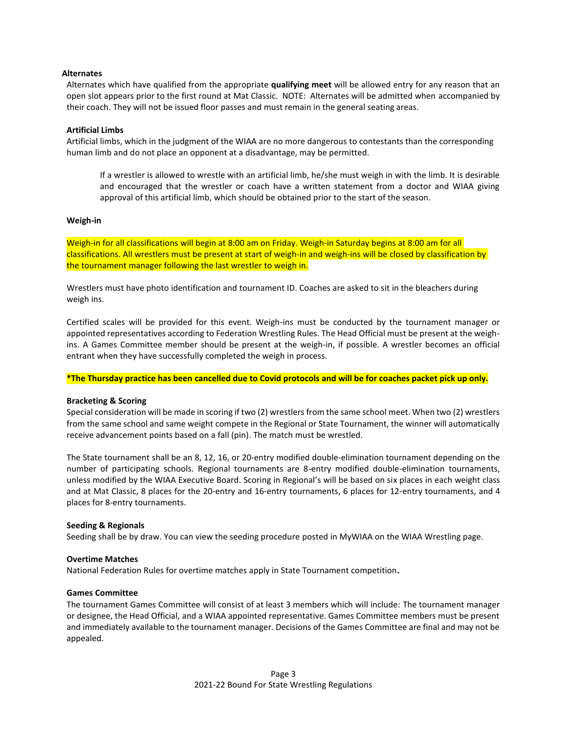# **Alternates**

Alternates which have qualified from the appropriate **qualifying meet** will be allowed entry for any reason that an open slot appears prior to the first round at Mat Classic. NOTE: Alternates will be admitted when accompanied by their coach. They will not be issued floor passes and must remain in the general seating areas.

# **Artificial Limbs**

Artificial limbs, which in the judgment of the WIAA are no more dangerous to contestants than the corresponding human limb and do not place an opponent at a disadvantage, may be permitted.

If a wrestler is allowed to wrestle with an artificial limb, he/she must weigh in with the limb. It is desirable and encouraged that the wrestler or coach have a written statement from a doctor and WIAA giving approval of this artificial limb, which should be obtained prior to the start of the season.

#### **Weigh-in**

Weigh-in for all classifications will begin at 8:00 am on Friday. Weigh-in Saturday begins at 8:00 am for all classifications. All wrestlers must be present at start of weigh-in and weigh-ins will be closed by classification by the tournament manager following the last wrestler to weigh in.

Wrestlers must have photo identification and tournament ID. Coaches are asked to sit in the bleachers during weigh ins.

Certified scales will be provided for this event. Weigh-ins must be conducted by the tournament manager or appointed representatives according to Federation Wrestling Rules. The Head Official must be present at the weighins. A Games Committee member should be present at the weigh-in, if possible. A wrestler becomes an official entrant when they have successfully completed the weigh in process.

**\*The Thursday practice has been cancelled due to Covid protocols and will be for coaches packet pick up only.**

## **Bracketing & Scoring**

Special consideration will be made in scoring if two (2) wrestlers from the same school meet. When two (2) wrestlers from the same school and same weight compete in the Regional or State Tournament, the winner will automatically receive advancement points based on a fall (pin). The match must be wrestled.

The State tournament shall be an 8, 12, 16, or 20-entry modified double-elimination tournament depending on the number of participating schools. Regional tournaments are 8-entry modified double-elimination tournaments, unless modified by the WIAA Executive Board. Scoring in Regional's will be based on six places in each weight class and at Mat Classic, 8 places for the 20-entry and 16-entry tournaments, 6 places for 12-entry tournaments, and 4 places for 8-entry tournaments.

#### **Seeding & Regionals**

Seeding shall be by draw. You can view the seeding procedure posted in MyWIAA on the WIAA Wrestling page.

### **Overtime Matches**

National Federation Rules for overtime matches apply in State Tournament competition**.**

#### **Games Committee**

The tournament Games Committee will consist of at least 3 members which will include: The tournament manager or designee, the Head Official, and a WIAA appointed representative. Games Committee members must be present and immediately available to the tournament manager. Decisions of the Games Committee are final and may not be appealed.